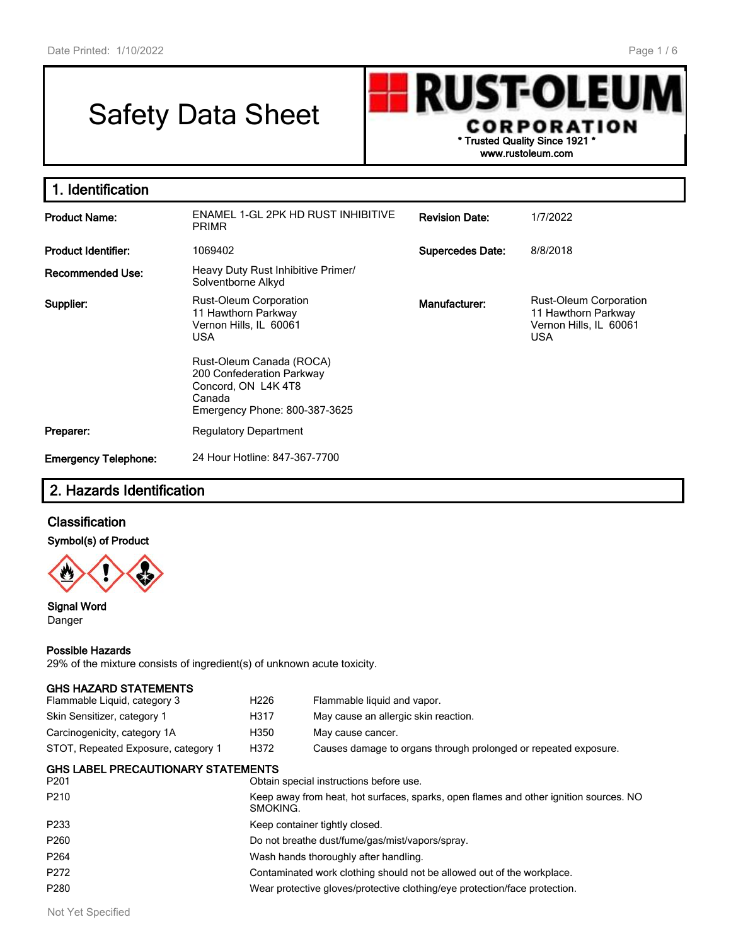# Safety Data Sheet



| 1. Identification           |                                                                                                                         |                         |                                                                                              |
|-----------------------------|-------------------------------------------------------------------------------------------------------------------------|-------------------------|----------------------------------------------------------------------------------------------|
| <b>Product Name:</b>        | ENAMEL 1-GL 2PK HD RUST INHIBITIVE<br><b>PRIMR</b>                                                                      | <b>Revision Date:</b>   | 1/7/2022                                                                                     |
| <b>Product Identifier:</b>  | 1069402                                                                                                                 | <b>Supercedes Date:</b> | 8/8/2018                                                                                     |
| <b>Recommended Use:</b>     | Heavy Duty Rust Inhibitive Primer/<br>Solventborne Alkyd                                                                |                         |                                                                                              |
| Supplier:                   | Rust-Oleum Corporation<br>11 Hawthorn Parkway<br>Vernon Hills, IL 60061<br><b>USA</b>                                   | Manufacturer:           | <b>Rust-Oleum Corporation</b><br>11 Hawthorn Parkway<br>Vernon Hills, IL 60061<br><b>USA</b> |
|                             | Rust-Oleum Canada (ROCA)<br>200 Confederation Parkway<br>Concord, ON L4K 4T8<br>Canada<br>Emergency Phone: 800-387-3625 |                         |                                                                                              |
| Preparer:                   | <b>Regulatory Department</b>                                                                                            |                         |                                                                                              |
| <b>Emergency Telephone:</b> | 24 Hour Hotline: 847-367-7700                                                                                           |                         |                                                                                              |

# **2. Hazards Identification**

# **Classification**

**Symbol(s) of Product**



#### **Signal Word** Danger

#### **Possible Hazards**

29% of the mixture consists of ingredient(s) of unknown acute toxicity.

| <b>GHS LABEL PRECAUTIONARY STATEMENTS</b> |                  |                                                                 |
|-------------------------------------------|------------------|-----------------------------------------------------------------|
| STOT, Repeated Exposure, category 1       | H372             | Causes damage to organs through prolonged or repeated exposure. |
| Carcinogenicity, category 1A              | H350             | May cause cancer.                                               |
| Skin Sensitizer, category 1               | H317             | May cause an allergic skin reaction.                            |
| Flammable Liquid, category 3              | H <sub>226</sub> | Flammable liquid and vapor.                                     |
| <b>GHS HAZARD STATEMENTS</b>              |                  |                                                                 |

| P <sub>210</sub><br>Keep away from heat, hot surfaces, sparks, open flames and other ignition sources. NO<br>SMOKING.<br>P233<br>Keep container tightly closed.<br>P <sub>260</sub><br>Do not breathe dust/fume/gas/mist/vapors/spray.<br>P <sub>264</sub><br>Wash hands thoroughly after handling.<br>P <sub>272</sub><br>Contaminated work clothing should not be allowed out of the workplace.<br>P280<br>Wear protective gloves/protective clothing/eye protection/face protection. | P <sub>201</sub> | Obtain special instructions before use. |
|-----------------------------------------------------------------------------------------------------------------------------------------------------------------------------------------------------------------------------------------------------------------------------------------------------------------------------------------------------------------------------------------------------------------------------------------------------------------------------------------|------------------|-----------------------------------------|
|                                                                                                                                                                                                                                                                                                                                                                                                                                                                                         |                  |                                         |
|                                                                                                                                                                                                                                                                                                                                                                                                                                                                                         |                  |                                         |
|                                                                                                                                                                                                                                                                                                                                                                                                                                                                                         |                  |                                         |
|                                                                                                                                                                                                                                                                                                                                                                                                                                                                                         |                  |                                         |
|                                                                                                                                                                                                                                                                                                                                                                                                                                                                                         |                  |                                         |
|                                                                                                                                                                                                                                                                                                                                                                                                                                                                                         |                  |                                         |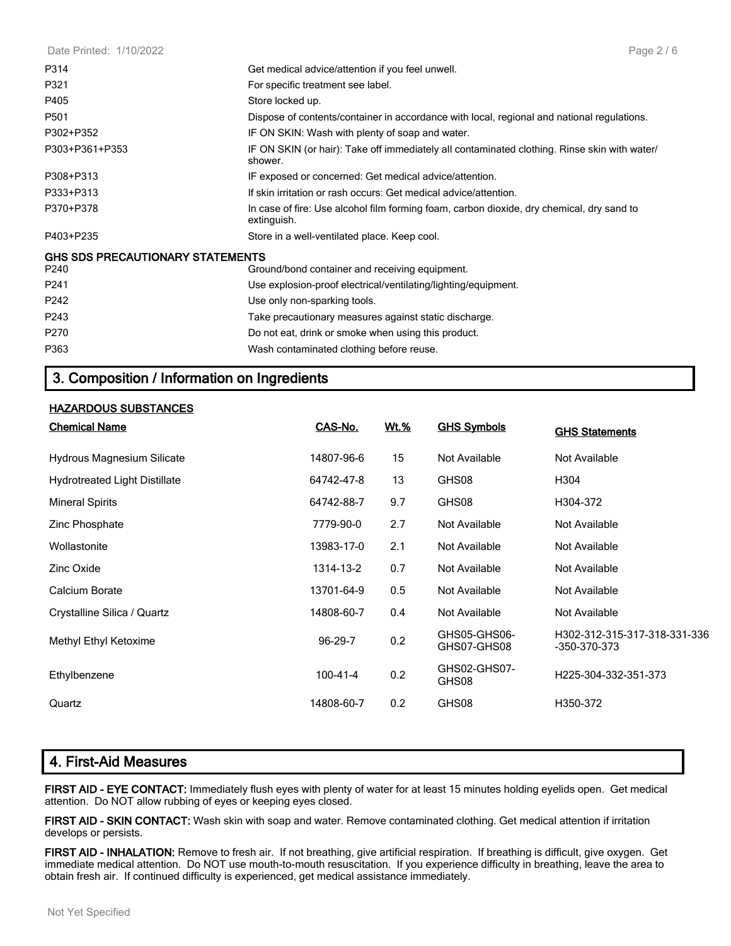| Date Printed: 1/10/2022                         | Page $2/6$                                                                                               |
|-------------------------------------------------|----------------------------------------------------------------------------------------------------------|
| P314                                            | Get medical advice/attention if you feel unwell.                                                         |
| P321                                            | For specific treatment see label.                                                                        |
| P405                                            | Store locked up.                                                                                         |
| P501                                            | Dispose of contents/container in accordance with local, regional and national regulations.               |
| P302+P352                                       | IF ON SKIN: Wash with plenty of soap and water.                                                          |
| P303+P361+P353                                  | IF ON SKIN (or hair): Take off immediately all contaminated clothing. Rinse skin with water/<br>shower.  |
| P308+P313                                       | IF exposed or concerned: Get medical advice/attention.                                                   |
| P333+P313                                       | If skin irritation or rash occurs: Get medical advice/attention.                                         |
| P370+P378                                       | In case of fire: Use alcohol film forming foam, carbon dioxide, dry chemical, dry sand to<br>extinguish. |
| P403+P235                                       | Store in a well-ventilated place. Keep cool.                                                             |
| <b>GHS SDS PRECAUTIONARY STATEMENTS</b><br>P240 | Ground/bond container and receiving equipment.                                                           |
| P <sub>241</sub>                                | Use explosion-proof electrical/ventilating/lighting/equipment.                                           |
| P <sub>242</sub>                                | Use only non-sparking tools.                                                                             |
| P243                                            | Take precautionary measures against static discharge.                                                    |
| P270                                            | Do not eat, drink or smoke when using this product.                                                      |
| P363                                            | Wash contaminated clothing before reuse.                                                                 |

# **3. Composition / Information on Ingredients**

#### **HAZARDOUS SUBSTANCES**

| <b>Chemical Name</b>                 | CAS-No.        | Wt.% | <b>GHS Symbols</b>          | <b>GHS Statements</b>                        |
|--------------------------------------|----------------|------|-----------------------------|----------------------------------------------|
| <b>Hydrous Magnesium Silicate</b>    | 14807-96-6     | 15   | Not Available               | Not Available                                |
| <b>Hydrotreated Light Distillate</b> | 64742-47-8     | 13   | GHS08                       | H304                                         |
| <b>Mineral Spirits</b>               | 64742-88-7     | 9.7  | GHS08                       | H304-372                                     |
| Zinc Phosphate                       | 7779-90-0      | 2.7  | Not Available               | Not Available                                |
| Wollastonite                         | 13983-17-0     | 2.1  | Not Available               | Not Available                                |
| Zinc Oxide                           | 1314-13-2      | 0.7  | Not Available               | Not Available                                |
| Calcium Borate                       | 13701-64-9     | 0.5  | Not Available               | Not Available                                |
| Crystalline Silica / Quartz          | 14808-60-7     | 0.4  | Not Available               | Not Available                                |
| Methyl Ethyl Ketoxime                | 96-29-7        | 0.2  | GHS05-GHS06-<br>GHS07-GHS08 | H302-312-315-317-318-331-336<br>-350-370-373 |
| Ethylbenzene                         | $100 - 41 - 4$ | 0.2  | GHS02-GHS07-<br>GHS08       | H225-304-332-351-373                         |
| Quartz                               | 14808-60-7     | 0.2  | GHS08                       | H350-372                                     |

# **4. First-Aid Measures**

**FIRST AID - EYE CONTACT:** Immediately flush eyes with plenty of water for at least 15 minutes holding eyelids open. Get medical attention. Do NOT allow rubbing of eyes or keeping eyes closed.

**FIRST AID - SKIN CONTACT:** Wash skin with soap and water. Remove contaminated clothing. Get medical attention if irritation develops or persists.

**FIRST AID - INHALATION:** Remove to fresh air. If not breathing, give artificial respiration. If breathing is difficult, give oxygen. Get immediate medical attention. Do NOT use mouth-to-mouth resuscitation. If you experience difficulty in breathing, leave the area to obtain fresh air. If continued difficulty is experienced, get medical assistance immediately.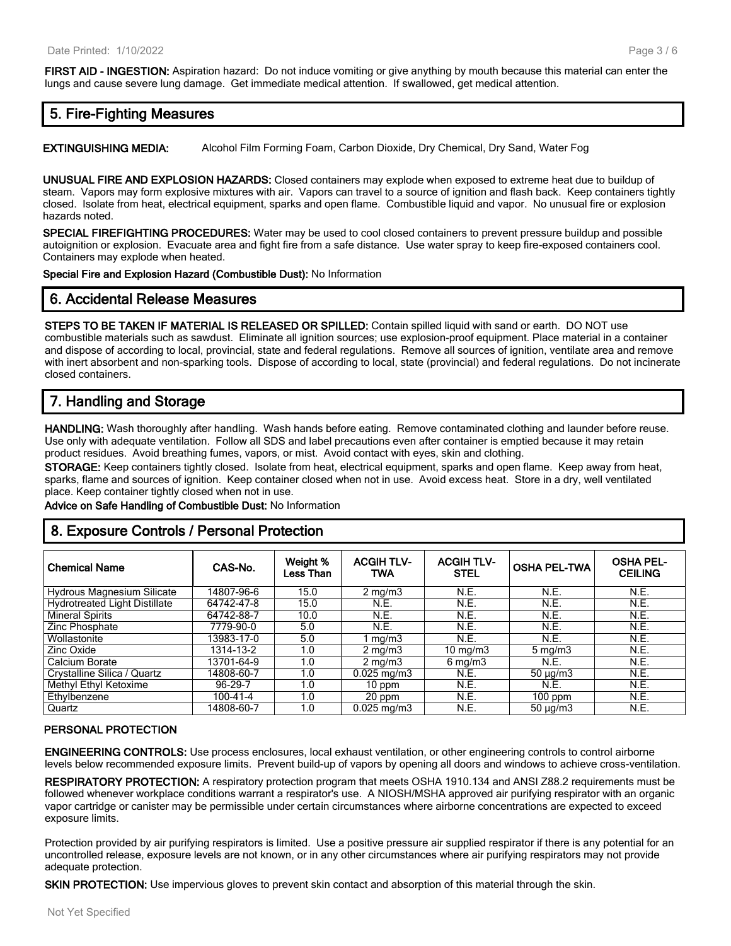**FIRST AID - INGESTION:** Aspiration hazard: Do not induce vomiting or give anything by mouth because this material can enter the lungs and cause severe lung damage. Get immediate medical attention. If swallowed, get medical attention.

# **5. Fire-Fighting Measures**

**EXTINGUISHING MEDIA:** Alcohol Film Forming Foam, Carbon Dioxide, Dry Chemical, Dry Sand, Water Fog

**UNUSUAL FIRE AND EXPLOSION HAZARDS:** Closed containers may explode when exposed to extreme heat due to buildup of steam. Vapors may form explosive mixtures with air. Vapors can travel to a source of ignition and flash back. Keep containers tightly closed. Isolate from heat, electrical equipment, sparks and open flame. Combustible liquid and vapor. No unusual fire or explosion hazards noted.

**SPECIAL FIREFIGHTING PROCEDURES:** Water may be used to cool closed containers to prevent pressure buildup and possible autoignition or explosion. Evacuate area and fight fire from a safe distance. Use water spray to keep fire-exposed containers cool. Containers may explode when heated.

**Special Fire and Explosion Hazard (Combustible Dust):** No Information

# **6. Accidental Release Measures**

**STEPS TO BE TAKEN IF MATERIAL IS RELEASED OR SPILLED:** Contain spilled liquid with sand or earth. DO NOT use combustible materials such as sawdust. Eliminate all ignition sources; use explosion-proof equipment. Place material in a container and dispose of according to local, provincial, state and federal regulations. Remove all sources of ignition, ventilate area and remove with inert absorbent and non-sparking tools. Dispose of according to local, state (provincial) and federal regulations. Do not incinerate closed containers.

# **7. Handling and Storage**

**HANDLING:** Wash thoroughly after handling. Wash hands before eating. Remove contaminated clothing and launder before reuse. Use only with adequate ventilation. Follow all SDS and label precautions even after container is emptied because it may retain product residues. Avoid breathing fumes, vapors, or mist. Avoid contact with eyes, skin and clothing.

**STORAGE:** Keep containers tightly closed. Isolate from heat, electrical equipment, sparks and open flame. Keep away from heat, sparks, flame and sources of ignition. Keep container closed when not in use. Avoid excess heat. Store in a dry, well ventilated place. Keep container tightly closed when not in use.

**Advice on Safe Handling of Combustible Dust:** No Information

# **8. Exposure Controls / Personal Protection**

| <b>Chemical Name</b>              | CAS-No.    | Weight %<br>Less Than | <b>ACGIH TLV-</b><br>TWA | <b>ACGIH TLV-</b><br><b>STEL</b> | <b>OSHA PEL-TWA</b> | <b>OSHA PEL-</b><br><b>CEILING</b> |
|-----------------------------------|------------|-----------------------|--------------------------|----------------------------------|---------------------|------------------------------------|
| <b>Hydrous Magnesium Silicate</b> | 14807-96-6 | 15.0                  | $2 \text{ mg/m}$         | N.E.                             | N.E.                | N.E.                               |
| Hydrotreated Light Distillate     | 64742-47-8 | 15.0                  | N.E.                     | N.E.                             | N.E.                | N.E.                               |
| <b>Mineral Spirits</b>            | 64742-88-7 | 10.0                  | N.E.                     | N.E.                             | N.E.                | N.E.                               |
| Zinc Phosphate                    | 7779-90-0  | 5.0                   | N.E.                     | N.E.                             | N.E.                | <b>N.E.</b>                        |
| Wollastonite                      | 13983-17-0 | 5.0                   | mg/m3                    | N.E.                             | N.E.                | <b>N.E.</b>                        |
| Zinc Oxide                        | 1314-13-2  | 1.0                   | $2 \text{ mg/m}$         | $10 \text{ mg/m}$                | $5 \,\mathrm{mg/m}$ | <b>N.E.</b>                        |
| Calcium Borate                    | 13701-64-9 | 1.0                   | $2 \text{ mg/m}$         | $6 \,\mathrm{mg/m}$              | N.E.                | N.E.                               |
| Crystalline Silica / Quartz       | 14808-60-7 | 1.0                   | $0.025$ mg/m3            | N.E.                             | $50 \mu g/m3$       | <b>N.E.</b>                        |
| Methyl Ethyl Ketoxime             | 96-29-7    | 1.0                   | $10$ ppm                 | N.E.                             | N.E.                | <b>N.E.</b>                        |
| Ethylbenzene                      | 100-41-4   | 1.0                   | 20 ppm                   | N.E.                             | $100$ ppm           | <b>N.E.</b>                        |
| Quartz                            | 14808-60-7 | 1.0                   | $0.025$ mg/m $3$         | N.E.                             | $50 \mu g/m3$       | N.E.                               |

#### **PERSONAL PROTECTION**

**ENGINEERING CONTROLS:** Use process enclosures, local exhaust ventilation, or other engineering controls to control airborne levels below recommended exposure limits. Prevent build-up of vapors by opening all doors and windows to achieve cross-ventilation.

**RESPIRATORY PROTECTION:** A respiratory protection program that meets OSHA 1910.134 and ANSI Z88.2 requirements must be followed whenever workplace conditions warrant a respirator's use. A NIOSH/MSHA approved air purifying respirator with an organic vapor cartridge or canister may be permissible under certain circumstances where airborne concentrations are expected to exceed exposure limits.

Protection provided by air purifying respirators is limited. Use a positive pressure air supplied respirator if there is any potential for an uncontrolled release, exposure levels are not known, or in any other circumstances where air purifying respirators may not provide adequate protection.

**SKIN PROTECTION:** Use impervious gloves to prevent skin contact and absorption of this material through the skin.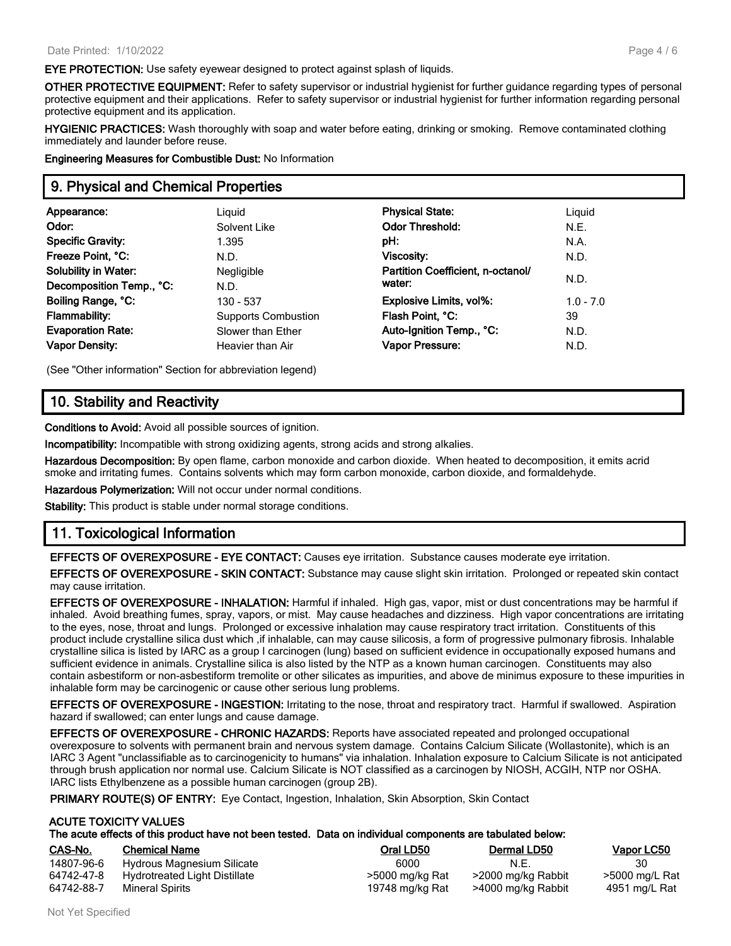**EYE PROTECTION:** Use safety eyewear designed to protect against splash of liquids.

**OTHER PROTECTIVE EQUIPMENT:** Refer to safety supervisor or industrial hygienist for further guidance regarding types of personal protective equipment and their applications. Refer to safety supervisor or industrial hygienist for further information regarding personal protective equipment and its application.

**HYGIENIC PRACTICES:** Wash thoroughly with soap and water before eating, drinking or smoking. Remove contaminated clothing immediately and launder before reuse.

**Engineering Measures for Combustible Dust:** No Information

# **9. Physical and Chemical Properties**

| Appearance:<br>Odor:<br><b>Specific Gravity:</b><br>Freeze Point, °C:<br><b>Solubility in Water:</b> | Liguid<br>Solvent Like<br>1.395<br>N.D.<br>Negligible | <b>Physical State:</b><br><b>Odor Threshold:</b><br>pH:<br>Viscosity:<br>Partition Coefficient, n-octanol/ | Liguid<br>N.E.<br>N.A.<br>N.D. |
|------------------------------------------------------------------------------------------------------|-------------------------------------------------------|------------------------------------------------------------------------------------------------------------|--------------------------------|
| Decomposition Temp., °C:                                                                             | N.D.                                                  | water:                                                                                                     | N.D.                           |
| Boiling Range, °C:                                                                                   | 130 - 537                                             | <b>Explosive Limits, vol%:</b>                                                                             | $1.0 - 7.0$                    |
| <b>Flammability:</b>                                                                                 | <b>Supports Combustion</b>                            | Flash Point, °C:                                                                                           | 39                             |
| <b>Evaporation Rate:</b>                                                                             | Slower than Ether                                     | Auto-Ignition Temp., °C:                                                                                   | N.D.                           |
| <b>Vapor Density:</b>                                                                                | Heavier than Air                                      | Vapor Pressure:                                                                                            | N.D.                           |

(See "Other information" Section for abbreviation legend)

# **10. Stability and Reactivity**

**Conditions to Avoid:** Avoid all possible sources of ignition.

**Incompatibility:** Incompatible with strong oxidizing agents, strong acids and strong alkalies.

**Hazardous Decomposition:** By open flame, carbon monoxide and carbon dioxide. When heated to decomposition, it emits acrid smoke and irritating fumes. Contains solvents which may form carbon monoxide, carbon dioxide, and formaldehyde.

**Hazardous Polymerization:** Will not occur under normal conditions.

**Stability:** This product is stable under normal storage conditions.

# **11. Toxicological Information**

**EFFECTS OF OVEREXPOSURE - EYE CONTACT:** Causes eye irritation. Substance causes moderate eye irritation.

**EFFECTS OF OVEREXPOSURE - SKIN CONTACT:** Substance may cause slight skin irritation. Prolonged or repeated skin contact may cause irritation.

**EFFECTS OF OVEREXPOSURE - INHALATION:** Harmful if inhaled. High gas, vapor, mist or dust concentrations may be harmful if inhaled. Avoid breathing fumes, spray, vapors, or mist. May cause headaches and dizziness. High vapor concentrations are irritating to the eyes, nose, throat and lungs. Prolonged or excessive inhalation may cause respiratory tract irritation. Constituents of this product include crystalline silica dust which ,if inhalable, can may cause silicosis, a form of progressive pulmonary fibrosis. Inhalable crystalline silica is listed by IARC as a group I carcinogen (lung) based on sufficient evidence in occupationally exposed humans and sufficient evidence in animals. Crystalline silica is also listed by the NTP as a known human carcinogen. Constituents may also contain asbestiform or non-asbestiform tremolite or other silicates as impurities, and above de minimus exposure to these impurities in inhalable form may be carcinogenic or cause other serious lung problems.

**EFFECTS OF OVEREXPOSURE - INGESTION:** Irritating to the nose, throat and respiratory tract. Harmful if swallowed. Aspiration hazard if swallowed; can enter lungs and cause damage.

**EFFECTS OF OVEREXPOSURE - CHRONIC HAZARDS:** Reports have associated repeated and prolonged occupational overexposure to solvents with permanent brain and nervous system damage. Contains Calcium Silicate (Wollastonite), which is an IARC 3 Agent "unclassifiable as to carcinogenicity to humans" via inhalation. Inhalation exposure to Calcium Silicate is not anticipated through brush application nor normal use. Calcium Silicate is NOT classified as a carcinogen by NIOSH, ACGIH, NTP nor OSHA. IARC lists Ethylbenzene as a possible human carcinogen (group 2B).

**PRIMARY ROUTE(S) OF ENTRY:** Eye Contact, Ingestion, Inhalation, Skin Absorption, Skin Contact

#### **ACUTE TOXICITY VALUES**

| CAS-No.    | <b>Chemical Name</b>          | Oral LD50       | Dermal LD50        | <b>Vapor LC50</b> |
|------------|-------------------------------|-----------------|--------------------|-------------------|
| 14807-96-6 | Hydrous Magnesium Silicate    | 6000            | N.E.               |                   |
| 64742-47-8 | Hydrotreated Light Distillate | >5000 mg/kg Rat | >2000 mg/kg Rabbit | >5000 mg/L Rat    |
| 64742-88-7 | Mineral Spirits               | 19748 mg/kg Rat | >4000 mg/kg Rabbit | 4951 mg/L Rat     |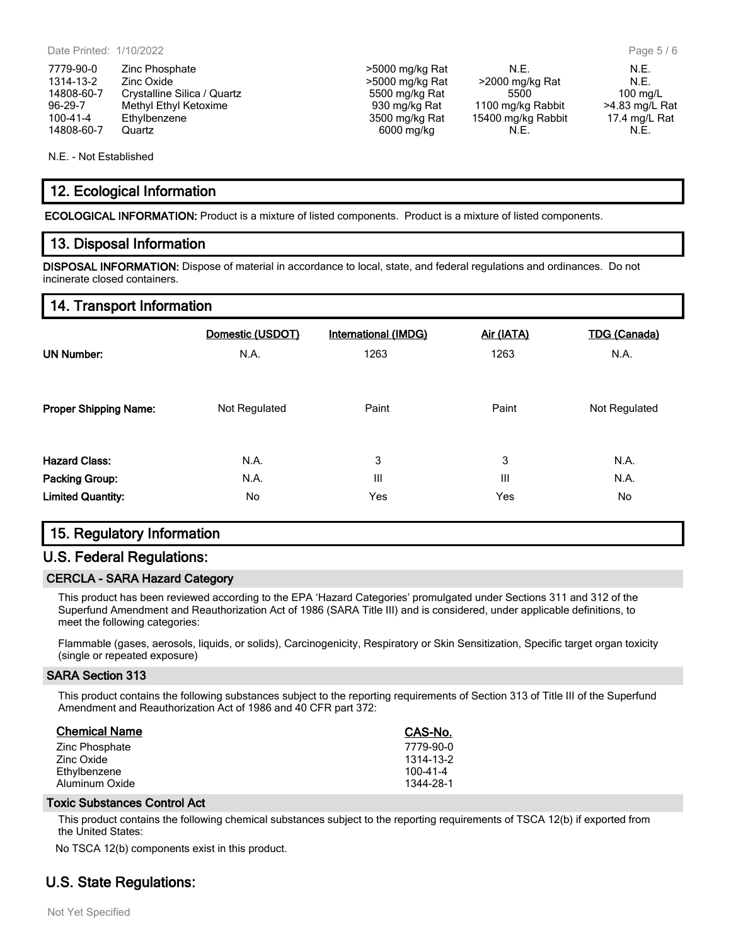7779-90-0 Zinc Phosphate  $\geq$  5000 mg/kg Rat N.E. N.E. N.E. 1314-13-2 Zinc Oxide *N.E.*<br>14808-60-7 Crystalline Silica / Quartz **14808-60-7** S500 mg/kg Rat 5500 mg/kg Rat 5500 mg/kg Rat 5500 mg/L 14808-60-7 Crystalline Silica / Quartz 5500 mg/kg Rat 5500 100 mg/L 96-29-7 Methyl Ethyl Ketoxime 1100 mg/kg Rat 1100 mg/kg Rat 1100 mg/kg Rat 1100 mg/kg Rat 1100 mg/kg Rat 1100 mg/kg Rat 1100 mg/kg Rat 1100 mg/kg Rat 1100 mg/kg Rat 1100 mg/kg Rat 1100 mg/kg Rat 1100 mg/kg Rat 1100 mg/kg R 100-41-4 Ethylbenzene 1988 Ethylbenzene 15400 mg/kg Rat 15400 mg/kg Rabbit 17.4 mg/L Rat 16800 mg/kg Rat 15400 mg/kg N.E. 14808-60-7 Quartz 6000 mg/kg N.E. N.E.

N.E. - Not Established

# **12. Ecological Information**

**ECOLOGICAL INFORMATION:** Product is a mixture of listed components. Product is a mixture of listed components.

### **13. Disposal Information**

**DISPOSAL INFORMATION:** Dispose of material in accordance to local, state, and federal regulations and ordinances. Do not incinerate closed containers.

# **14. Transport Information**

|                              | Domestic (USDOT) | <b>International (IMDG)</b> | Air (IATA) | <b>TDG (Canada)</b> |
|------------------------------|------------------|-----------------------------|------------|---------------------|
| <b>UN Number:</b>            | N.A.             | 1263                        | 1263       | N.A.                |
|                              |                  |                             |            |                     |
| <b>Proper Shipping Name:</b> | Not Regulated    | Paint                       | Paint      | Not Regulated       |
|                              |                  |                             |            |                     |
| <b>Hazard Class:</b>         | N.A.             | 3                           | 3          | N.A.                |
| <b>Packing Group:</b>        | N.A.             | $\mathbf{III}$              | III        | N.A.                |
| <b>Limited Quantity:</b>     | No               | Yes                         | Yes        | No                  |

# **15. Regulatory Information**

# **U.S. Federal Regulations:**

#### **CERCLA - SARA Hazard Category**

This product has been reviewed according to the EPA 'Hazard Categories' promulgated under Sections 311 and 312 of the Superfund Amendment and Reauthorization Act of 1986 (SARA Title III) and is considered, under applicable definitions, to meet the following categories:

Flammable (gases, aerosols, liquids, or solids), Carcinogenicity, Respiratory or Skin Sensitization, Specific target organ toxicity (single or repeated exposure)

#### **SARA Section 313**

This product contains the following substances subject to the reporting requirements of Section 313 of Title III of the Superfund Amendment and Reauthorization Act of 1986 and 40 CFR part 372:

| <b>Chemical Name</b> | CAS-No.        |
|----------------------|----------------|
| Zinc Phosphate       | 7779-90-0      |
| Zinc Oxide           | 1314-13-2      |
| Ethylbenzene         | $100 - 41 - 4$ |
| Aluminum Oxide       | 1344-28-1      |

#### **Toxic Substances Control Act**

This product contains the following chemical substances subject to the reporting requirements of TSCA 12(b) if exported from the United States:

No TSCA 12(b) components exist in this product.

# **U.S. State Regulations:**